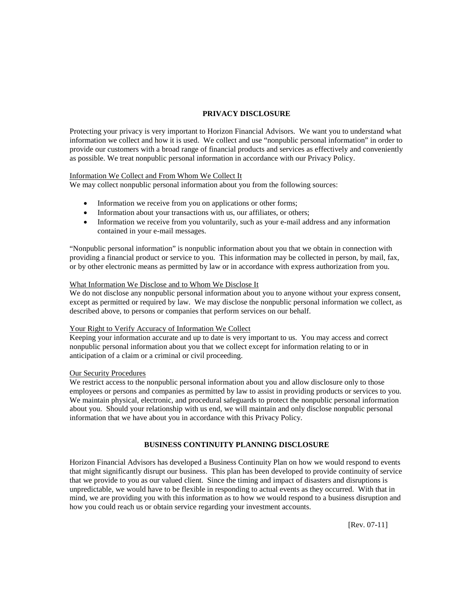## **PRIVACY DISCLOSURE**

Protecting your privacy is very important to Horizon Financial Advisors. We want you to understand what information we collect and how it is used. We collect and use "nonpublic personal information" in order to provide our customers with a broad range of financial products and services as effectively and conveniently as possible. We treat nonpublic personal information in accordance with our Privacy Policy.

### Information We Collect and From Whom We Collect It

We may collect nonpublic personal information about you from the following sources:

- Information we receive from you on applications or other forms;
- Information about your transactions with us, our affiliates, or others;
- Information we receive from you voluntarily, such as your e-mail address and any information contained in your e-mail messages.

"Nonpublic personal information" is nonpublic information about you that we obtain in connection with providing a financial product or service to you. This information may be collected in person, by mail, fax, or by other electronic means as permitted by law or in accordance with express authorization from you.

#### What Information We Disclose and to Whom We Disclose It

We do not disclose any nonpublic personal information about you to anyone without your express consent, except as permitted or required by law. We may disclose the nonpublic personal information we collect, as described above, to persons or companies that perform services on our behalf.

#### Your Right to Verify Accuracy of Information We Collect

Keeping your information accurate and up to date is very important to us. You may access and correct nonpublic personal information about you that we collect except for information relating to or in anticipation of a claim or a criminal or civil proceeding.

### Our Security Procedures

We restrict access to the nonpublic personal information about you and allow disclosure only to those employees or persons and companies as permitted by law to assist in providing products or services to you. We maintain physical, electronic, and procedural safeguards to protect the nonpublic personal information about you. Should your relationship with us end, we will maintain and only disclose nonpublic personal information that we have about you in accordance with this Privacy Policy.

# **BUSINESS CONTINUITY PLANNING DISCLOSURE**

Horizon Financial Advisors has developed a Business Continuity Plan on how we would respond to events that might significantly disrupt our business. This plan has been developed to provide continuity of service that we provide to you as our valued client. Since the timing and impact of disasters and disruptions is unpredictable, we would have to be flexible in responding to actual events as they occurred. With that in mind, we are providing you with this information as to how we would respond to a business disruption and how you could reach us or obtain service regarding your investment accounts.